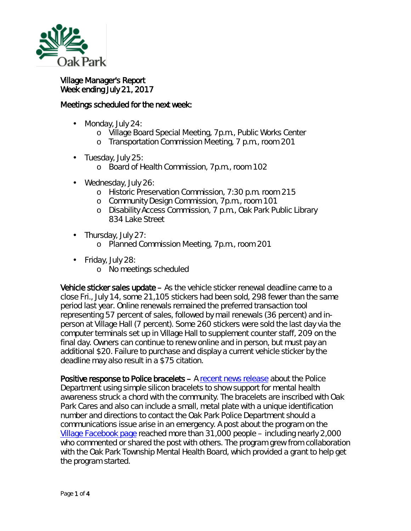

Village Manager's Report Week ending July 21, 2017

## Meetings scheduled for the next week:

- ä, Monday, July 24:
	- o Village Board Special Meeting, 7p.m., Public Works Center
	- o Transportation Commission Meeting, 7 p.m., room 201
- ä, Tuesday, July 25:
	- o Board of Health Commission, 7p.m., room 102
- Wednesday, July 26:
	- o Historic Preservation Commission, 7:30 p.m. room 215
	- o Community Design Commission, 7p.m., room 101
	- o Disability Access Commission, 7 p.m., Oak Park Public Library 834 Lake Street
- . Thursday, July 27:
	- o Planned Commission Meeting, 7p.m., room 201
- Friday, July 28:
	- o No meetings scheduled

Vehicle sticker sales update – As the vehicle sticker renewal deadline came to a close Fri., July 14, some 21,105 stickers had been sold, 298 fewer than the same period last year. Online renewals remained the preferred transaction tool representing 57 percent of sales, followed by mail renewals (36 percent) and inperson at Village Hall (7 percent). Some 260 stickers were sold the last day via the computer terminals set up in Village Hall to supplement counter staff, 209 on the final day. Owners can continue to renew online and in person, but must pay an additional \$20. Failure to purchase and display a current vehicle sticker by the deadline may also result in a \$75 citation.

Positive response to Police bracelets – A [recent news release](http://www.oak-park.us/news/police-department-raising-mental-health-awareness) about the Police Department using simple silicon bracelets to show support for mental health awareness struck a chord with the community. The bracelets are inscribed with *Oak Park Cares* and also can include a small, metal plate with a unique identification number and directions to contact the Oak Park Police Department should a communications issue arise in an emergency. A post about the program on the [Village Facebook page](https://www.facebook.com/vopnews/) reached more than 31,000 people – including nearly 2,000 who commented or shared the post with others. The program grew from collaboration with the Oak Park Township Mental Health Board, which provided a grant to help get the program started.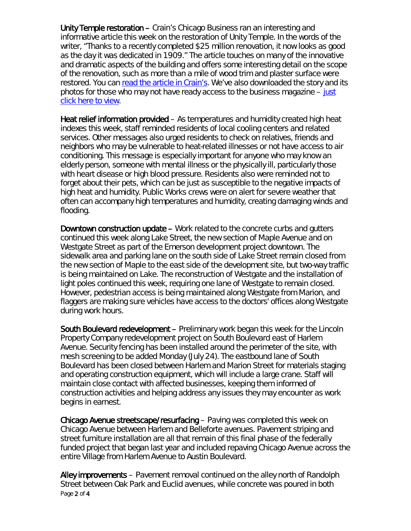Unity Temple restoration – Crain's Chicago Business ran an interesting and informative article this week on the restoration of Unity Temple. In the words of the writer, "Thanks to a recently completed \$25 million renovation, it now looks as good as the day it was dedicated in 1909." The article touches on many of the innovative and dramatic aspects of the building and offers some interesting detail on the scope of the renovation, such as more than a mile of wood trim and plaster surface were restored. You can [read the article in Crain's.](http://www.chicagobusiness.com/article/20170718/NEWS07/170719862/frank-lloyd-wrights-unity-temple-restored) We've also downloaded the story and its photos for those who may not have ready access to the business magazine  $-\underline{\text{just}}$ [click here to view.](http://www.oak-park.us/sites/default/files/456678891/2017-07-18-see_frank_lloyd_wrights_unity_temple_restore-crains.pdf)

Heat relief information provided – As temperatures and humidity created high heat indexes this week, staff reminded residents of local cooling centers and related services. Other messages also urged residents to check on relatives, friends and neighbors who may be vulnerable to heat-related illnesses or not have access to air conditioning. This message is especially important for anyone who may know an elderly person, someone with mental illness or the physically ill, particularly those with heart disease or high blood pressure. Residents also were reminded not to forget about their pets, which can be just as susceptible to the negative impacts of high heat and humidity. Public Works crews were on alert for severe weather that often can accompany high temperatures and humidity, creating damaging winds and flooding.

Downtown construction update – Work related to the concrete curbs and gutters continued this week along Lake Street, the new section of Maple Avenue and on Westgate Street as part of the Emerson development project downtown. The sidewalk area and parking lane on the south side of Lake Street remain closed from the new section of Maple to the east side of the development site, but two-way traffic is being maintained on Lake. The reconstruction of Westgate and the installation of light poles continued this week, requiring one lane of Westgate to remain closed. However, pedestrian access is being maintained along Westgate from Marion, and flaggers are making sure vehicles have access to the doctors' offices along Westgate during work hours.

South Boulevard redevelopment – Preliminary work began this week for the Lincoln Property Company redevelopment project on South Boulevard east of Harlem Avenue. Security fencing has been installed around the perimeter of the site, with mesh screening to be added Monday (July 24). The eastbound lane of South Boulevard has been closed between Harlem and Marion Street for materials staging and operating construction equipment, which will include a large crane. Staff will maintain close contact with affected businesses, keeping them informed of construction activities and helping address any issues they may encounter as work begins in earnest.

Chicago Avenue streetscape/resurfacing – Paving was completed this week on Chicago Avenue between Harlem and Belleforte avenues. Pavement striping and street furniture installation are all that remain of this final phase of the federally funded project that began last year and included repaving Chicago Avenue across the entire Village from Harlem Avenue to Austin Boulevard.

Page 2 of 4 Alley improvements – Pavement removal continued on the alley north of Randolph Street between Oak Park and Euclid avenues, while concrete was poured in both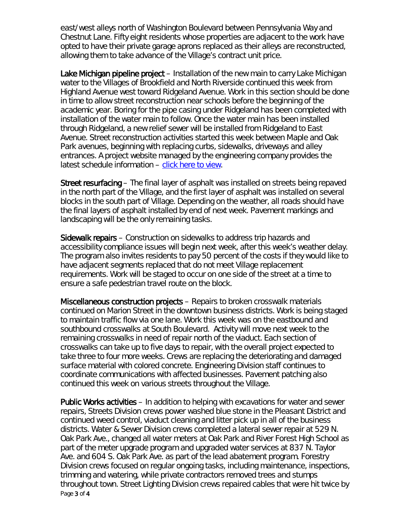east/west alleys north of Washington Boulevard between Pennsylvania Way and Chestnut Lane. Fifty eight residents whose properties are adjacent to the work have opted to have their private garage aprons replaced as their alleys are reconstructed, allowing them to take advance of the Village's contract unit price.

Lake Michigan pipeline project – Installation of the new main to carry Lake Michigan water to the Villages of Brookfield and North Riverside continued this week from Highland Avenue west toward Ridgeland Avenue. Work in this section should be done in time to allow street reconstruction near schools before the beginning of the academic year. Boring for the pipe casing under Ridgeland has been completed with installation of the water main to follow. Once the water main has been installed through Ridgeland, a new relief sewer will be installed from Ridgeland to East Avenue. Street reconstruction activities started this week between Maple and Oak Park avenues, beginning with replacing curbs, sidewalks, driveways and alley entrances. A project website managed by the engineering company provides the latest schedule information  $-$  [click here to view.](http://www.bnrwcproject.com/index.php?/categories/5-Oak-Park)

Street resurfacing – The final layer of asphalt was installed on streets being repaved in the north part of the Village, and the first layer of asphalt was installed on several blocks in the south part of Village. Depending on the weather, all roads should have the final layers of asphalt installed by end of next week. Pavement markings and landscaping will be the only remaining tasks.

Sidewalk repairs – Construction on sidewalks to address trip hazards and accessibility compliance issues will begin next week, after this week's weather delay. The program also invites residents to pay 50 percent of the costs if they would like to have adjacent segments replaced that do not meet Village replacement requirements. Work will be staged to occur on one side of the street at a time to ensure a safe pedestrian travel route on the block.

Miscellaneous construction projects – Repairs to broken crosswalk materials continued on Marion Street in the downtown business districts. Work is being staged to maintain traffic flow via one lane. Work this week was on the eastbound and southbound crosswalks at South Boulevard. Activity will move next week to the remaining crosswalks in need of repair north of the viaduct. Each section of crosswalks can take up to five days to repair, with the overall project expected to take three to four more weeks. Crews are replacing the deteriorating and damaged surface material with colored concrete. Engineering Division staff continues to coordinate communications with affected businesses. Pavement patching also continued this week on various streets throughout the Village.

Page 3 of 4 Public Works activities – In addition to helping with excavations for water and sewer repairs, Streets Division crews power washed blue stone in the Pleasant District and continued weed control, viaduct cleaning and litter pick up in all of the business districts. Water & Sewer Division crews completed a lateral sewer repair at 529 N. Oak Park Ave., changed all water meters at Oak Park and River Forest High School as part of the meter upgrade program and upgraded water services at 837 N. Taylor Ave. and 604 S. Oak Park Ave. as part of the lead abatement program. Forestry Division crews focused on regular ongoing tasks, including maintenance, inspections, trimming and watering, while private contractors removed trees and stumps throughout town. Street Lighting Division crews repaired cables that were hit twice by